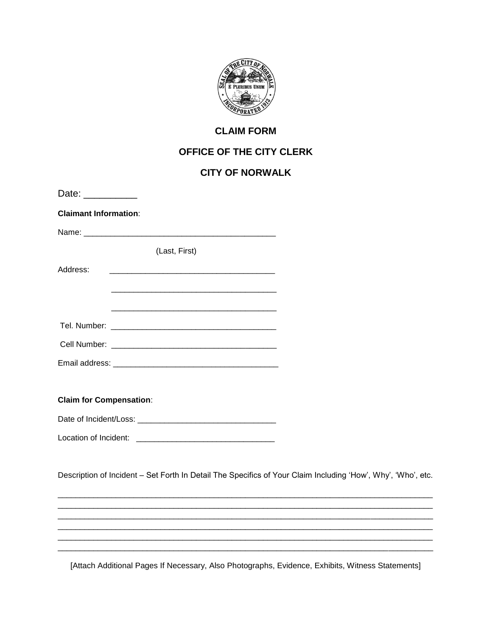

## **CLAIM FORM**

## OFFICE OF THE CITY CLERK

## **CITY OF NORWALK**

| Date: __________               |               |                                                                                                              |
|--------------------------------|---------------|--------------------------------------------------------------------------------------------------------------|
| <b>Claimant Information:</b>   |               |                                                                                                              |
|                                |               |                                                                                                              |
|                                | (Last, First) |                                                                                                              |
| Address:                       |               |                                                                                                              |
|                                |               |                                                                                                              |
|                                |               |                                                                                                              |
|                                |               |                                                                                                              |
|                                |               |                                                                                                              |
| <b>Claim for Compensation:</b> |               |                                                                                                              |
|                                |               |                                                                                                              |
|                                |               |                                                                                                              |
|                                |               | Description of Incident - Set Forth In Detail The Specifics of Your Claim Including 'How', Why', 'Who', etc. |
|                                |               |                                                                                                              |
|                                |               |                                                                                                              |
|                                |               |                                                                                                              |
|                                |               |                                                                                                              |

[Attach Additional Pages If Necessary, Also Photographs, Evidence, Exhibits, Witness Statements]